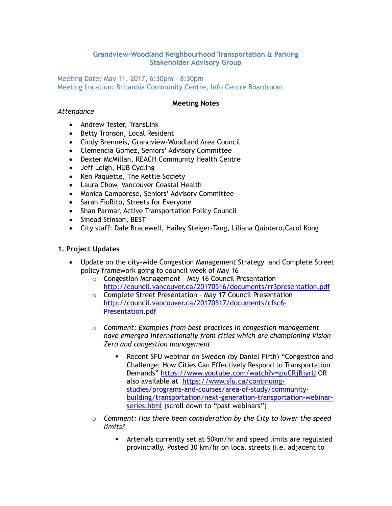## **Grandview-Woodland Neighbourhood Transportation & Parking Stakeholder Advisory Group**

#### Meeting Date: May 11, 2017, 6:30pm - 8:30pm Meeting Location: Britannia Community Centre, Info Centre Boardroom

#### **Meeting Notes**

#### *Attendance*

- Andrew Tester, TransLink
- Betty Tronson, Local Resident
- Cindy Brenneis, Grandview-Woodland Area Council
- Clemencia Gomez, Seniors' Advisory Committee
- Dexter McMillan, REACH Community Health Centre
- Jeff Leigh, HUB Cycling
- Ken Paquette, The Kettle Society
- Laura Chow, Vancouver Coastal Health
- Monica Camporese, Seniors' Advisory Committee
- Sarah FioRito, Streets for Everyone
- Shan Parmar, Active Transportation Policy Council
- Sinead Stinson, BEST
- City staff: Dale Bracewell, Hailey Steiger-Tang, Liliana Quintero,Carol Kong

#### **1. Project Updates**

- Update on the city-wide Congestion Management Strategy and Complete Street policy framework going to council week of May 16
	- o Congestion Management May 16 Council Presentation <http://council.vancouver.ca/20170516/documents/rr3presentation.pdf>
	- o Complete Street Presentation May 17 Council Presentation [http://council.vancouver.ca/20170517/documents/cfsc6-](http://council.vancouver.ca/20170517/documents/cfsc6-Presentation.pdf) [Presentation.pdf](http://council.vancouver.ca/20170517/documents/cfsc6-Presentation.pdf)
	- o *Comment: Examples from best practices in congestion management have emerged internationally from cities which are championing Vision Zero and congestion management*
		- Recent SFU webinar on Sweden (by Daniel Firth) "Congestion and Challenge: How Cities Can Effectively Respond to Transportation Demands"<https://www.youtube.com/watch?v=giuCRjBjyrU> OR also available at [https://www.sfu.ca/continuing](https://www.sfu.ca/continuing-studies/programs-and-courses/area-of-study/community-building/transportation/next-generation-transportation-webinar-series.html)[studies/programs-and-courses/area-of-study/community](https://www.sfu.ca/continuing-studies/programs-and-courses/area-of-study/community-building/transportation/next-generation-transportation-webinar-series.html)[building/transportation/next-generation-transportation-webinar](https://www.sfu.ca/continuing-studies/programs-and-courses/area-of-study/community-building/transportation/next-generation-transportation-webinar-series.html)[series.html](https://www.sfu.ca/continuing-studies/programs-and-courses/area-of-study/community-building/transportation/next-generation-transportation-webinar-series.html) (scroll down to "past webinars")
	- o *Comment: Has there been consideration by the City to lower the speed limits?*
		- Arterials currently set at 50km/hr and speed limits are regulated provincially. Posted 30 km/hr on local streets (i.e. adjacent to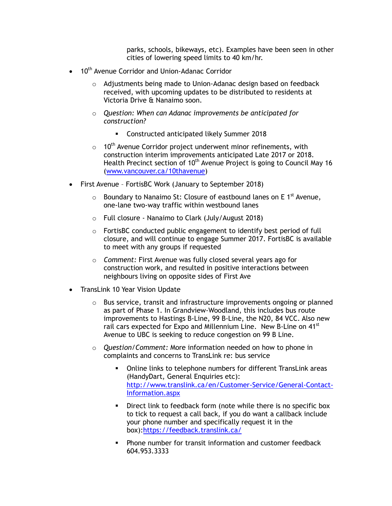parks, schools, bikeways, etc). Examples have been seen in other cities of lowering speed limits to 40 km/hr.

- 10<sup>th</sup> Avenue Corridor and Union-Adanac Corridor
	- o Adjustments being made to Union-Adanac design based on feedback received, with upcoming updates to be distributed to residents at Victoria Drive & Nanaimo soon.
	- o *Question: When can Adanac improvements be anticipated for construction?* 
		- **EXECONSTREE CONSTREE CONSTREE** Constructed anticipated likely Summer 2018
	- $\circ$  10<sup>th</sup> Avenue Corridor project underwent minor refinements, with construction interim improvements anticipated Late 2017 or 2018. Health Precinct section of 10<sup>th</sup> Avenue Project is going to Council May 16 [\(www.vancouver.ca/10thavenue\)](http://www.vancouver.ca/10thavenue)
- First Avenue FortisBC Work (January to September 2018)
	- Boundary to Nanaimo St: Closure of eastbound lanes on E 1<sup>st</sup> Avenue, one-lane two-way traffic within westbound lanes
	- o Full closure Nanaimo to Clark (July/August 2018)
	- o FortisBC conducted public engagement to identify best period of full closure, and will continue to engage Summer 2017. FortisBC is available to meet with any groups if requested
	- o *Comment:* First Avenue was fully closed several years ago for construction work, and resulted in positive interactions between neighbours living on opposite sides of First Ave
- TransLink 10 Year Vision Update
	- $\circ$  Bus service, transit and infrastructure improvements ongoing or planned as part of Phase 1. In Grandview-Woodland, this includes bus route improvements to Hastings B-Line, 99 B-Line, the N20, 84 VCC. Also new rail cars expected for Expo and Millennium Line. New B-Line on 41<sup>st</sup> Avenue to UBC is seeking to reduce congestion on 99 B Line.
	- o *Question/Comment:* More information needed on how to phone in complaints and concerns to TransLink re: bus service
		- Online links to telephone numbers for different TransLink areas (HandyDart, General Enquiries etc): [http://www.translink.ca/en/Customer-Service/General-Contact-](http://www.translink.ca/en/Customer-Service/General-Contact-Information.aspx)[Information.aspx](http://www.translink.ca/en/Customer-Service/General-Contact-Information.aspx)
		- **Direct link to feedback form (note while there is no specific box** to tick to request a call back, if you do want a callback include your phone number and specifically request it in the box)[:https://feedback.translink.ca/](https://feedback.translink.ca/)
		- **Phone number for transit information and customer feedback** 604.953.3333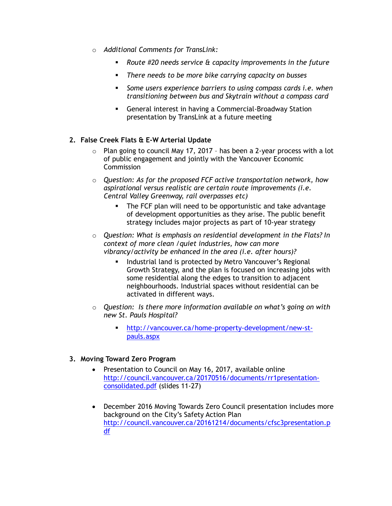- o *Additional Comments for TransLink:*
	- *Route #20 needs service & capacity improvements in the future*
	- *There needs to be more bike carrying capacity on busses*
	- *Some users experience barriers to using compass cards i.e. when transitioning between bus and Skytrain without a compass card*
	- General interest in having a Commercial-Broadway Station presentation by TransLink at a future meeting

## **2. False Creek Flats & E-W Arterial Update**

- o Plan going to council May 17, 2017 has been a 2-year process with a lot of public engagement and jointly with the Vancouver Economic **Commission**
- o *Question: As for the proposed FCF active transportation network, how aspirational versus realistic are certain route improvements (i.e. Central Valley Greenway, rail overpasses etc)*
	- **The FCF plan will need to be opportunistic and take advantage** of development opportunities as they arise. The public benefit strategy includes major projects as part of 10-year strategy
- o *Question: What is emphasis on residential development in the Flats? In context of more clean /quiet industries, how can more vibrancy/activity be enhanced in the area (i.e. after hours)?*
	- **Industrial land is protected by Metro Vancouver's Regional** Growth Strategy, and the plan is focused on increasing jobs with some residential along the edges to transition to adjacent neighbourhoods. Industrial spaces without residential can be activated in different ways.
- o *Question: Is there more information available on what's going on with new St. Pauls Hospital?* 
	- [http://vancouver.ca/home-property-development/new-st](http://vancouver.ca/home-property-development/new-st-pauls.aspx)[pauls.aspx](http://vancouver.ca/home-property-development/new-st-pauls.aspx)

## **3. Moving Toward Zero Program**

- Presentation to Council on May 16, 2017, available online [http://council.vancouver.ca/20170516/documents/rr1presentation](http://council.vancouver.ca/20170516/documents/rr1presentation-consolidated.pdf)[consolidated.pdf](http://council.vancouver.ca/20170516/documents/rr1presentation-consolidated.pdf) (slides 11-27)
- December 2016 Moving Towards Zero Council presentation includes more background on the City's Safety Action Plan [http://council.vancouver.ca/20161214/documents/cfsc3presentation.p](http://council.vancouver.ca/20161214/documents/cfsc3presentation.pdf) [df](http://council.vancouver.ca/20161214/documents/cfsc3presentation.pdf)